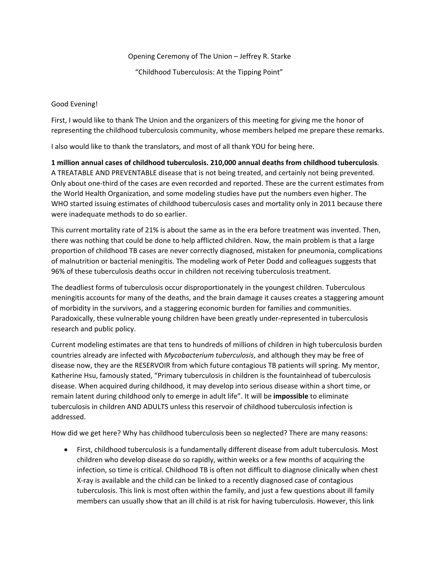Opening Ceremony of The Union – Jeffrey R. Starke

"Childhood Tuberculosis: At the Tipping Point"

Good Evening!

First, I would like to thank The Union and the organizers of this meeting for giving me the honor of representing the childhood tuberculosis community, whose members helped me prepare these remarks.

I also would like to thank the translators, and most of all thank YOU for being here.

**1 million annual cases of childhood tuberculosis. 210,000 annual deaths from childhood tuberculosis**. A TREATABLE AND PREVENTABLE disease that is not being treated, and certainly not being prevented. Only about one-third of the cases are even recorded and reported. These are the current estimates from the World Health Organization, and some modeling studies have put the numbers even higher. The WHO started issuing estimates of childhood tuberculosis cases and mortality only in 2011 because there were inadequate methods to do so earlier.

This current mortality rate of 21% is about the same as in the era before treatment was invented. Then, there was nothing that could be done to help afflicted children. Now, the main problem is that a large proportion of childhood TB cases are never correctly diagnosed, mistaken for pneumonia, complications of malnutrition or bacterial meningitis. The modeling work of Peter Dodd and colleagues suggests that 96% of these tuberculosis deaths occur in children not receiving tuberculosis treatment.

The deadliest forms of tuberculosis occur disproportionately in the youngest children. Tuberculous meningitis accounts for many of the deaths, and the brain damage it causes creates a staggering amount of morbidity in the survivors, and a staggering economic burden for families and communities. Paradoxically, these vulnerable young children have been greatly under-represented in tuberculosis research and public policy.

Current modeling estimates are that tens to hundreds of millions of children in high tuberculosis burden countries already are infected with *Mycobacterium tuberculosis*, and although they may be free of disease now, they are the RESERVOIR from which future contagious TB patients will spring. My mentor, Katherine Hsu, famously stated, "Primary tuberculosis in children is the fountainhead of tuberculosis disease. When acquired during childhood, it may develop into serious disease within a short time, or remain latent during childhood only to emerge in adult life". It will be **impossible** to eliminate tuberculosis in children AND ADULTS unless this reservoir of childhood tuberculosis infection is addressed.

How did we get here? Why has childhood tuberculosis been so neglected? There are many reasons:

• First, childhood tuberculosis is a fundamentally different disease from adult tuberculosis. Most children who develop disease do so rapidly, within weeks or a few months of acquiring the infection, so time is critical. Childhood TB is often not difficult to diagnose clinically when chest X-ray is available and the child can be linked to a recently diagnosed case of contagious tuberculosis. This link is most often within the family, and just a few questions about ill family members can usually show that an ill child is at risk for having tuberculosis. However, this link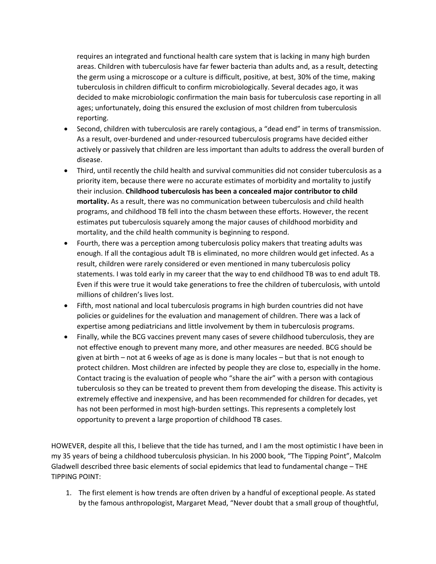requires an integrated and functional health care system that is lacking in many high burden areas. Children with tuberculosis have far fewer bacteria than adults and, as a result, detecting the germ using a microscope or a culture is difficult, positive, at best, 30% of the time, making tuberculosis in children difficult to confirm microbiologically. Several decades ago, it was decided to make microbiologic confirmation the main basis for tuberculosis case reporting in all ages; unfortunately, doing this ensured the exclusion of most children from tuberculosis reporting.

- Second, children with tuberculosis are rarely contagious, a "dead end" in terms of transmission. As a result, over-burdened and under-resourced tuberculosis programs have decided either actively or passively that children are less important than adults to address the overall burden of disease.
- Third, until recently the child health and survival communities did not consider tuberculosis as a priority item, because there were no accurate estimates of morbidity and mortality to justify their inclusion. **Childhood tuberculosis has been a concealed major contributor to child mortality.** As a result, there was no communication between tuberculosis and child health programs, and childhood TB fell into the chasm between these efforts. However, the recent estimates put tuberculosis squarely among the major causes of childhood morbidity and mortality, and the child health community is beginning to respond.
- Fourth, there was a perception among tuberculosis policy makers that treating adults was enough. If all the contagious adult TB is eliminated, no more children would get infected. As a result, children were rarely considered or even mentioned in many tuberculosis policy statements. I was told early in my career that the way to end childhood TB was to end adult TB. Even if this were true it would take generations to free the children of tuberculosis, with untold millions of children's lives lost.
- Fifth, most national and local tuberculosis programs in high burden countries did not have policies or guidelines for the evaluation and management of children. There was a lack of expertise among pediatricians and little involvement by them in tuberculosis programs.
- Finally, while the BCG vaccines prevent many cases of severe childhood tuberculosis, they are not effective enough to prevent many more, and other measures are needed. BCG should be given at birth – not at 6 weeks of age as is done is many locales – but that is not enough to protect children. Most children are infected by people they are close to, especially in the home. Contact tracing is the evaluation of people who "share the air" with a person with contagious tuberculosis so they can be treated to prevent them from developing the disease. This activity is extremely effective and inexpensive, and has been recommended for children for decades, yet has not been performed in most high-burden settings. This represents a completely lost opportunity to prevent a large proportion of childhood TB cases.

HOWEVER, despite all this, I believe that the tide has turned, and I am the most optimistic I have been in my 35 years of being a childhood tuberculosis physician. In his 2000 book, "The Tipping Point", Malcolm Gladwell described three basic elements of social epidemics that lead to fundamental change – THE TIPPING POINT:

1. The first element is how trends are often driven by a handful of exceptional people. As stated by the famous anthropologist, Margaret Mead, "Never doubt that a small group of thoughtful,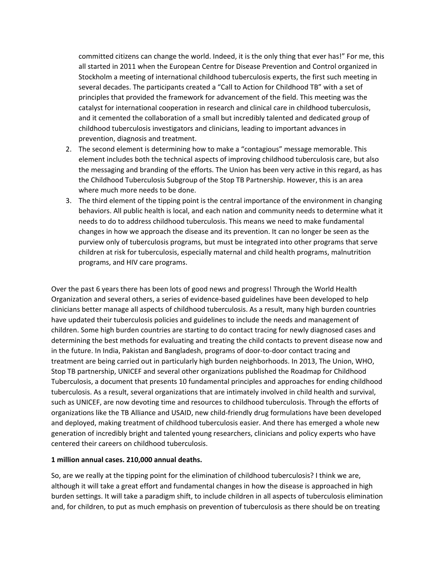committed citizens can change the world. Indeed, it is the only thing that ever has!" For me, this all started in 2011 when the European Centre for Disease Prevention and Control organized in Stockholm a meeting of international childhood tuberculosis experts, the first such meeting in several decades. The participants created a "Call to Action for Childhood TB" with a set of principles that provided the framework for advancement of the field. This meeting was the catalyst for international cooperation in research and clinical care in childhood tuberculosis, and it cemented the collaboration of a small but incredibly talented and dedicated group of childhood tuberculosis investigators and clinicians, leading to important advances in prevention, diagnosis and treatment.

- 2. The second element is determining how to make a "contagious" message memorable. This element includes both the technical aspects of improving childhood tuberculosis care, but also the messaging and branding of the efforts. The Union has been very active in this regard, as has the Childhood Tuberculosis Subgroup of the Stop TB Partnership. However, this is an area where much more needs to be done.
- 3. The third element of the tipping point is the central importance of the environment in changing behaviors. All public health is local, and each nation and community needs to determine what it needs to do to address childhood tuberculosis. This means we need to make fundamental changes in how we approach the disease and its prevention. It can no longer be seen as the purview only of tuberculosis programs, but must be integrated into other programs that serve children at risk for tuberculosis, especially maternal and child health programs, malnutrition programs, and HIV care programs.

Over the past 6 years there has been lots of good news and progress! Through the World Health Organization and several others, a series of evidence-based guidelines have been developed to help clinicians better manage all aspects of childhood tuberculosis. As a result, many high burden countries have updated their tuberculosis policies and guidelines to include the needs and management of children. Some high burden countries are starting to do contact tracing for newly diagnosed cases and determining the best methods for evaluating and treating the child contacts to prevent disease now and in the future. In India, Pakistan and Bangladesh, programs of door-to-door contact tracing and treatment are being carried out in particularly high burden neighborhoods. In 2013, The Union, WHO, Stop TB partnership, UNICEF and several other organizations published the Roadmap for Childhood Tuberculosis, a document that presents 10 fundamental principles and approaches for ending childhood tuberculosis. As a result, several organizations that are intimately involved in child health and survival, such as UNICEF, are now devoting time and resources to childhood tuberculosis. Through the efforts of organizations like the TB Alliance and USAID, new child-friendly drug formulations have been developed and deployed, making treatment of childhood tuberculosis easier. And there has emerged a whole new generation of incredibly bright and talented young researchers, clinicians and policy experts who have centered their careers on childhood tuberculosis.

## **1 million annual cases. 210,000 annual deaths.**

So, are we really at the tipping point for the elimination of childhood tuberculosis? I think we are, although it will take a great effort and fundamental changes in how the disease is approached in high burden settings. It will take a paradigm shift, to include children in all aspects of tuberculosis elimination and, for children, to put as much emphasis on prevention of tuberculosis as there should be on treating